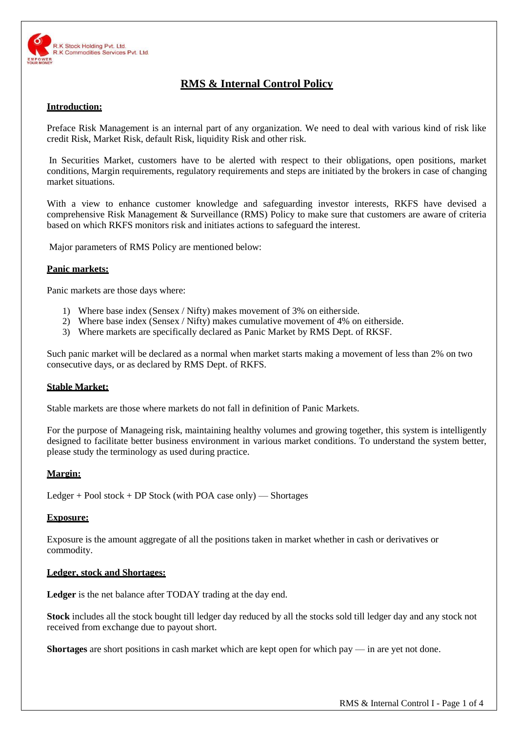

# **RMS & Internal Control Policy**

## **Introduction:**

Preface Risk Management is an internal part of any organization. We need to deal with various kind of risk like credit Risk, Market Risk, default Risk, liquidity Risk and other risk.

In Securities Market, customers have to be alerted with respect to their obligations, open positions, market conditions, Margin requirements, regulatory requirements and steps are initiated by the brokers in case of changing market situations.

With a view to enhance customer knowledge and safeguarding investor interests, RKFS have devised a comprehensive Risk Management & Surveillance (RMS) Policy to make sure that customers are aware of criteria based on which RKFS monitors risk and initiates actions to safeguard the interest.

Major parameters of RMS Policy are mentioned below:

## **Panic markets:**

Panic markets are those days where:

- 1) Where base index (Sensex / Nifty) makes movement of 3% on eitherside.
- 2) Where base index (Sensex / Nifty) makes cumulative movement of 4% on eitherside.
- 3) Where markets are specifically declared as Panic Market by RMS Dept. of RKSF.

Such panic market will be declared as a normal when market starts making a movement of less than 2% on two consecutive days, or as declared by RMS Dept. of RKFS.

## **Stable Market:**

Stable markets are those where markets do not fall in definition of Panic Markets.

For the purpose of Manageing risk, maintaining healthy volumes and growing together, this system is intelligently designed to facilitate better business environment in various market conditions. To understand the system better, please study the terminology as used during practice.

## **Margin:**

Ledger + Pool stock + DP Stock (with POA case only) — Shortages

## **Exposure:**

Exposure is the amount aggregate of all the positions taken in market whether in cash or derivatives or commodity.

## **Ledger, stock and Shortages:**

Ledger is the net balance after TODAY trading at the day end.

**Stock** includes all the stock bought till ledger day reduced by all the stocks sold till ledger day and any stock not received from exchange due to payout short.

**Shortages** are short positions in cash market which are kept open for which pay — in are yet not done.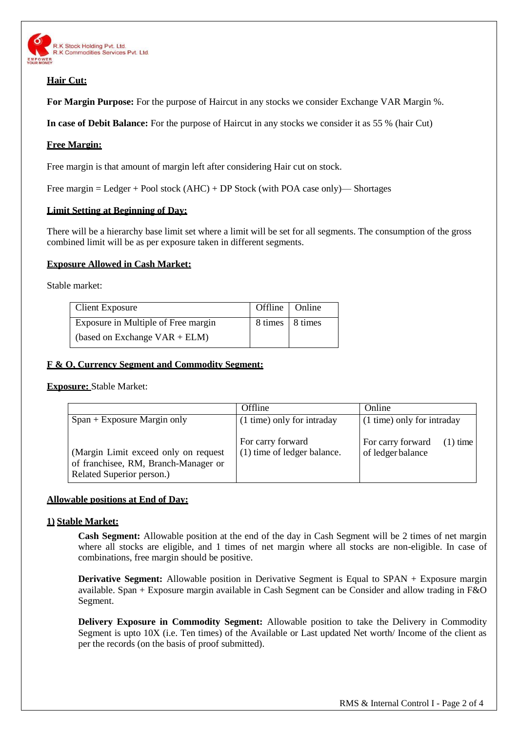

# **Hair Cut:**

**For Margin Purpose:** For the purpose of Haircut in any stocks we consider Exchange VAR Margin %.

**In case of Debit Balance:** For the purpose of Haircut in any stocks we consider it as 55 % (hair Cut)

# **Free Margin:**

Free margin is that amount of margin left after considering Hair cut on stock.

Free margin = Ledger + Pool stock (AHC) + DP Stock (with POA case only)— Shortages

## **Limit Setting at Beginning of Day:**

There will be a hierarchy base limit set where a limit will be set for all segments. The consumption of the gross combined limit will be as per exposure taken in different segments.

# **Exposure Allowed in Cash Market:**

Stable market:

| Client Exposure                     | Offline   Online  |  |
|-------------------------------------|-------------------|--|
| Exposure in Multiple of Free margin | 8 times   8 times |  |
| (based on Exchange $VAR + ELM$ )    |                   |  |

# **F & O, Currency Segment and Commodity Segment:**

**Exposure:** Stable Market:

|                                                                                                           | Offline                                          | Online                                               |  |
|-----------------------------------------------------------------------------------------------------------|--------------------------------------------------|------------------------------------------------------|--|
| $Span + Exposure Margin only$                                                                             | (1 time) only for intraday                       | (1 time) only for intraday                           |  |
| (Margin Limit exceed only on request<br>of franchisee, RM, Branch-Manager or<br>Related Superior person.) | For carry forward<br>(1) time of ledger balance. | For carry forward<br>$(1)$ time<br>of ledger balance |  |

## **Allowable positions at End of Day:**

## **1) Stable Market:**

**Cash Segment:** Allowable position at the end of the day in Cash Segment will be 2 times of net margin where all stocks are eligible, and 1 times of net margin where all stocks are non-eligible. In case of combinations, free margin should be positive.

**Derivative Segment:** Allowable position in Derivative Segment is Equal to SPAN + Exposure margin available. Span + Exposure margin available in Cash Segment can be Consider and allow trading in F&O Segment.

**Delivery Exposure in Commodity Segment:** Allowable position to take the Delivery in Commodity Segment is upto 10X (i.e. Ten times) of the Available or Last updated Net worth/ Income of the client as per the records (on the basis of proof submitted).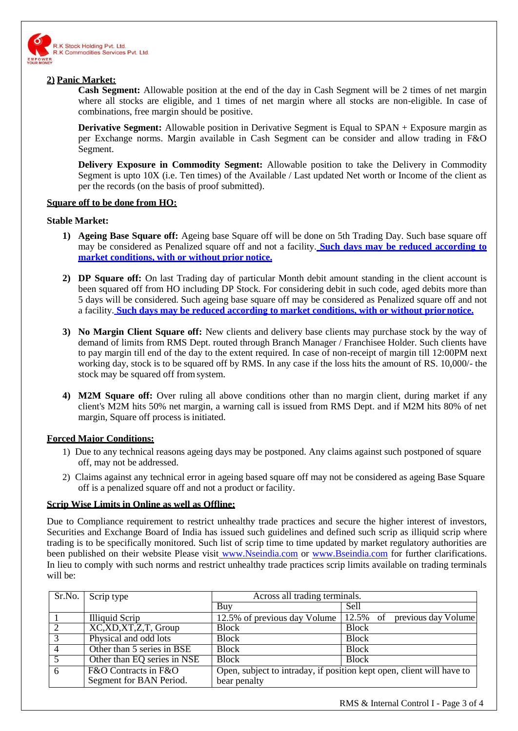

## **2) Panic Market:**

**Cash Segment:** Allowable position at the end of the day in Cash Segment will be 2 times of net margin where all stocks are eligible, and 1 times of net margin where all stocks are non-eligible. In case of combinations, free margin should be positive.

**Derivative Segment:** Allowable position in Derivative Segment is Equal to SPAN + Exposure margin as per Exchange norms. Margin available in Cash Segment can be consider and allow trading in F&O Segment.

**Delivery Exposure in Commodity Segment:** Allowable position to take the Delivery in Commodity Segment is upto 10X (i.e. Ten times) of the Available / Last updated Net worth or Income of the client as per the records (on the basis of proof submitted).

# **Square off to be done from HO:**

## **Stable Market:**

- **1) Ageing Base Square off:** Ageing base Square off will be done on 5th Trading Day. Such base square off may be considered as Penalized square off and not a facility. **Such days may be reduced according to market conditions, with or without prior notice.**
- **2) DP Square off:** On last Trading day of particular Month debit amount standing in the client account is been squared off from HO including DP Stock. For considering debit in such code, aged debits more than 5 days will be considered. Such ageing base square off may be considered as Penalized square off and not a facility. **Such days may be reduced according to market conditions, with or without priornotice.**
- **3) No Margin Client Square off:** New clients and delivery base clients may purchase stock by the way of demand of limits from RMS Dept. routed through Branch Manager / Franchisee Holder. Such clients have to pay margin till end of the day to the extent required. In case of non-receipt of margin till 12:00PM next working day, stock is to be squared off by RMS. In any case if the loss hits the amount of RS. 10,000/- the stock may be squared off fromsystem.
- **4) M2M Square off:** Over ruling all above conditions other than no margin client, during market if any client's M2M hits 50% net margin, a warning call is issued from RMS Dept. and if M2M hits 80% of net margin, Square off process is initiated.

## **Forced Major Conditions:**

- 1) Due to any technical reasons ageing days may be postponed. Any claims against such postponed of square off, may not be addressed.
- 2) Claims against any technical error in ageing based square off may not be considered as ageing Base Square off is a penalized square off and not a product or facility.

## **Scrip Wise Limits in Online as well as Offline:**

Due to Compliance requirement to restrict unhealthy trade practices and secure the higher interest of investors, Securities and Exchange Board of India has issued such guidelines and defined such scrip as illiquid scrip where trading is to be specifically monitored. Such list of scrip time to time updated by market regulatory authorities are been published on their website Please visit [www.Nseindia.com](http://www.nseindia.com/) or [www.Bseindia.com](http://www.bseindia.com/) for further clarifications. In lieu to comply with such norms and restrict unhealthy trade practices scrip limits available on trading terminals will be:

| Sr.No.         | Scrip type                            | Across all trading terminals.                                         |                                 |  |
|----------------|---------------------------------------|-----------------------------------------------------------------------|---------------------------------|--|
|                |                                       | Buy                                                                   | Sell                            |  |
|                | <b>Illiquid Scrip</b>                 | 12.5% of previous day Volume                                          | 12.5% of<br>previous day Volume |  |
| 2              | $\overline{XC, XD, XT, Z, T}$ , Group | <b>Block</b>                                                          | <b>Block</b>                    |  |
| 3              | Physical and odd lots                 | <b>Block</b>                                                          | <b>Block</b>                    |  |
| $\overline{4}$ | Other than 5 series in BSE            | <b>Block</b>                                                          | <b>Block</b>                    |  |
| 5              | Other than EQ series in NSE           | <b>Block</b>                                                          | <b>Block</b>                    |  |
| 6              | F&O Contracts in F&O                  | Open, subject to intraday, if position kept open, client will have to |                                 |  |
|                | Segment for BAN Period.               | bear penalty                                                          |                                 |  |